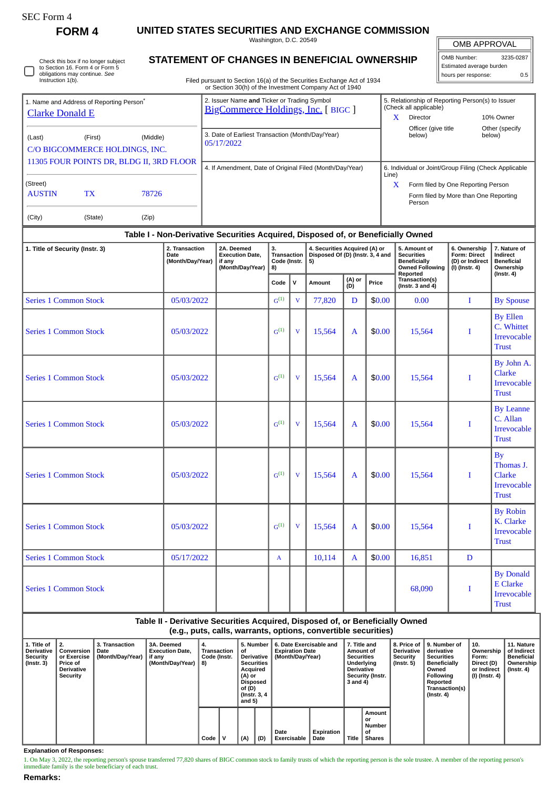ſ

**FORM 4 UNITED STATES SECURITIES AND EXCHANGE COMMISSION**

Washington, D.C. 20549

OMB APPROVAL

| OMB Number:              | 3235-0287 |  |  |  |  |  |
|--------------------------|-----------|--|--|--|--|--|
| Estimated average burden |           |  |  |  |  |  |
| hours per response:      | 0.5       |  |  |  |  |  |

Check this box if no longer subject to Section 16. Form 4 or Form 5 obligations may continue. *See* Instruction 1(b).

## **STATEMENT OF CHANGES IN BENEFICIAL OWNERSHIP**

Filed pursuant to Section 16(a) of the Securities Exchange Act of 1934 or Section 30(h) of the Investment Company Act of 1940

| 1. Name and Address of Reporting Person <sup>®</sup><br><b>Clarke Donald E</b> |                                                       |       | 2. Issuer Name and Ticker or Trading Symbol<br>BigCommerce Holdings, Inc. [BIGC] | x           | 5. Relationship of Reporting Person(s) to Issuer<br>(Check all applicable)<br>Director | 10% Owner                |  |
|--------------------------------------------------------------------------------|-------------------------------------------------------|-------|----------------------------------------------------------------------------------|-------------|----------------------------------------------------------------------------------------|--------------------------|--|
| (Last)                                                                         | (Middle)<br>(First)<br>C/O BIGCOMMERCE HOLDINGS, INC. |       | 3. Date of Earliest Transaction (Month/Day/Year)<br>05/17/2022                   |             | Officer (give title<br>below)                                                          | Other (specify<br>below) |  |
| 11305 FOUR POINTS DR, BLDG II, 3RD FLOOR                                       |                                                       |       | 4. If Amendment, Date of Original Filed (Month/Day/Year)                         | Line)       | 6. Individual or Joint/Group Filing (Check Applicable                                  |                          |  |
| (Street)<br><b>AUSTIN</b>                                                      | <b>TX</b>                                             | 78726 |                                                                                  | $\mathbf x$ | Form filed by One Reporting Person<br>Form filed by More than One Reporting<br>Person  |                          |  |
| (City)                                                                         | (State)                                               | (Zip) |                                                                                  |             |                                                                                        |                          |  |

## **Table I - Non-Derivative Securities Acquired, Disposed of, or Beneficially Owned**

| 1. Title of Security (Instr. 3) | 2. Transaction<br>Date<br>(Month/Day/Year) | 2A. Deemed<br><b>Execution Date,</b><br>if any<br>(Month/Day/Year) | 3.<br>Transaction<br>Code (Instr.<br>8) |                         | 4. Securities Acquired (A) or<br>Disposed Of (D) (Instr. 3, 4 and<br>5) |                                                                   |        | 5. Amount of<br><b>Securities</b><br><b>Beneficially</b><br><b>Owned Following</b><br>Reported | 6. Ownership<br>Form: Direct<br>(D) or Indirect<br>(I) (Instr. 4) | 7. Nature of<br><b>Indirect</b><br><b>Beneficial</b><br>Ownership      |
|---------------------------------|--------------------------------------------|--------------------------------------------------------------------|-----------------------------------------|-------------------------|-------------------------------------------------------------------------|-------------------------------------------------------------------|--------|------------------------------------------------------------------------------------------------|-------------------------------------------------------------------|------------------------------------------------------------------------|
|                                 |                                            |                                                                    | Code                                    | $\mathsf{v}$            | Amount                                                                  | (A) or<br>(D)<br>Transaction(s)<br>Price<br>(Instr. $3$ and $4$ ) |        |                                                                                                | $($ Instr. 4 $)$                                                  |                                                                        |
| <b>Series 1 Common Stock</b>    | 05/03/2022                                 |                                                                    | $G^{(1)}$                               | $\overline{\mathbf{V}}$ | 77,820                                                                  | D                                                                 | \$0.00 | 0.00                                                                                           | $\mathbf I$                                                       | <b>By Spouse</b>                                                       |
| <b>Series 1 Common Stock</b>    | 05/03/2022                                 |                                                                    | $G^{(1)}$                               | $\overline{V}$          | 15,564                                                                  | $\mathbf{A}$                                                      | \$0.00 | 15,564                                                                                         | I                                                                 | <b>By Ellen</b><br>C. Whittet<br><b>Irrevocable</b><br><b>Trust</b>    |
| <b>Series 1 Common Stock</b>    | 05/03/2022                                 |                                                                    | G <sup>(1)</sup>                        | V                       | 15,564                                                                  | $\mathbf{A}$                                                      | \$0.00 | 15,564                                                                                         | I                                                                 | By John A.<br><b>Clarke</b><br>Irrevocable<br><b>Trust</b>             |
| <b>Series 1 Common Stock</b>    | 05/03/2022                                 |                                                                    | $G^{(1)}$                               | $\mathbf{V}$            | 15,564                                                                  | A                                                                 | \$0.00 | 15,564                                                                                         | I                                                                 | <b>By Leanne</b><br>C. Allan<br><b>Irrevocable</b><br>Trust            |
| <b>Series 1 Common Stock</b>    | 05/03/2022                                 |                                                                    | G <sup>(1)</sup>                        | $\mathbf{V}$            | 15,564                                                                  | $\mathbf{A}$                                                      | \$0.00 | 15,564                                                                                         | I                                                                 | <b>By</b><br>Thomas J.<br><b>Clarke</b><br>Irrevocable<br><b>Trust</b> |
| <b>Series 1 Common Stock</b>    | 05/03/2022                                 |                                                                    | ${\bf G}^{(1)}$                         | V                       | 15,564                                                                  | $\mathbf{A}$                                                      | \$0.00 | 15,564                                                                                         | I                                                                 | <b>By Robin</b><br>K. Clarke<br>Irrevocable<br><b>Trust</b>            |
| <b>Series 1 Common Stock</b>    | 05/17/2022                                 |                                                                    | $\mathbf{A}$                            |                         | 10,114                                                                  | $\mathbf{A}$                                                      | \$0.00 | 16,851                                                                                         | D                                                                 |                                                                        |
| <b>Series 1 Common Stock</b>    |                                            |                                                                    |                                         |                         |                                                                         |                                                                   |        | 68,090                                                                                         | I                                                                 | <b>By Donald</b><br><b>E</b> Clarke<br>Irrevocable<br><b>Trust</b>     |

**Table II - Derivative Securities Acquired, Disposed of, or Beneficially Owned (e.g., puts, calls, warrants, options, convertible securities)**

| 1. Title of<br>Derivative<br><b>Security</b><br>$($ Instr. 3 $)$ | Conversion<br>or Exercise<br>Price of<br><b>Derivative</b><br>Security | 3. Transaction<br>Date<br>(Month/Day/Year) | <b>3A. Deemed</b><br><b>Execution Date.</b><br>if any<br>(Month/Day/Year) | 4.<br>Transaction<br>Code (Instr.<br>8) |      | 5. Number<br>οf<br><b>Derivative</b><br><b>Securities</b><br>Acquired<br>(A) or<br><b>Disposed</b><br>of (D)<br>(Instr. 3, 4)<br>and 5) |     | 6. Date Exercisable and<br><b>Expiration Date</b><br>(Month/Day/Year) |                            | 7. Title and<br>Amount of<br><b>Securities</b><br>Underlying<br><b>Derivative</b><br>Security (Instr.<br>3 and 4) |       | <b>Derivative</b><br>Security<br>$($ Instr. 5 $)$ | 8. Price of 19. Number of<br>derivative<br>Securities<br><b>Beneficially</b><br>Owned<br>Following<br>Reported<br>Transaction(s)<br>$($ Instr. 4 $)$ | 10.<br>Ownership<br>Form:<br>Direct (D)<br>or Indirect<br>(I) (Instr. 4) | 11. Nature<br>of Indirect<br>Beneficial<br>Ownership<br>(Instr. 4) |
|------------------------------------------------------------------|------------------------------------------------------------------------|--------------------------------------------|---------------------------------------------------------------------------|-----------------------------------------|------|-----------------------------------------------------------------------------------------------------------------------------------------|-----|-----------------------------------------------------------------------|----------------------------|-------------------------------------------------------------------------------------------------------------------|-------|---------------------------------------------------|------------------------------------------------------------------------------------------------------------------------------------------------------|--------------------------------------------------------------------------|--------------------------------------------------------------------|
|                                                                  |                                                                        |                                            |                                                                           |                                         | Code |                                                                                                                                         | (A) | (D)                                                                   | Date<br><b>Exercisable</b> | Expiration<br>Date                                                                                                | Title | Amount<br>or<br>Number<br>οf<br><b>Shares</b>     |                                                                                                                                                      |                                                                          |                                                                    |

**Explanation of Responses:**

1. On May 3, 2022, the reporting person's spouse transferred 77,820 shares of BIGC common stock to family trusts of which the reporting person is the sole trustee. A member of the reporting person's<br>immediate family is the

**Remarks:**